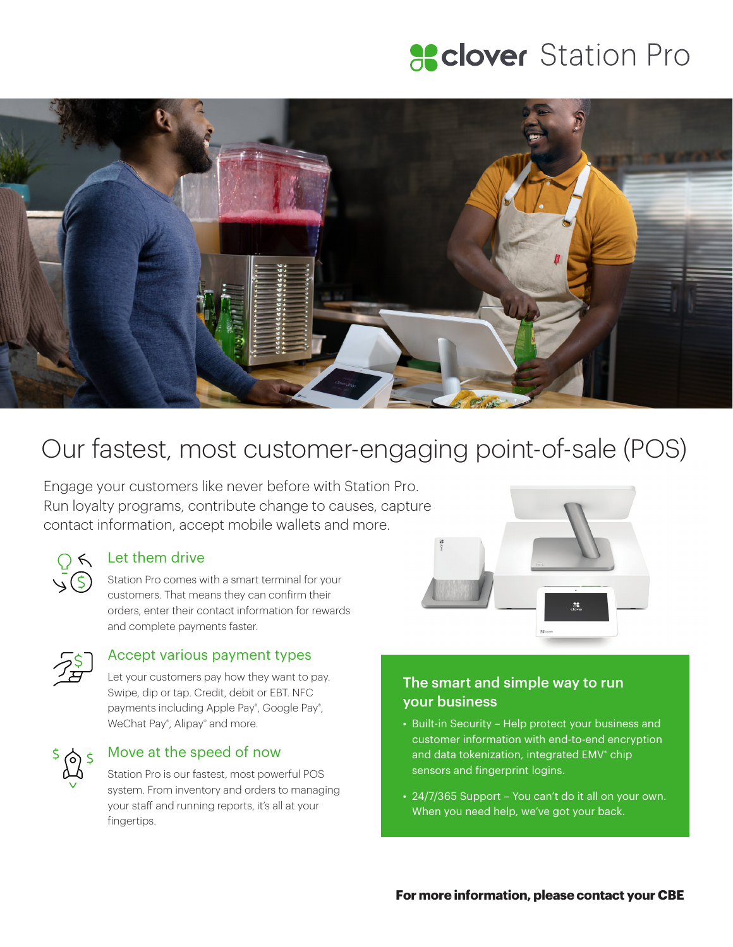# **Sclover** Station Pro



# Our fastest, most customer-engaging point-of-sale (POS)

Engage your customers like never before with Station Pro. Run loyalty programs, contribute change to causes, capture contact information, accept mobile wallets and more.



#### Let them drive

Station Pro comes with a smart terminal for your customers. That means they can confirm their orders, enter their contact information for rewards and complete payments faster.



#### Accept various payment types

Let your customers pay how they want to pay. Swipe, dip or tap. Credit, debit or EBT. NFC payments including Apple Pay® , Google Pay® , WeChat Pay®, Alipay® and more.



#### Move at the speed of now

Station Pro is our fastest, most powerful POS system. From inventory and orders to managing your staff and running reports, it's all at your fingertips.



### The smart and simple way to run your business

- Built-in Security Help protect your business and customer information with end-to-end encryption and data tokenization, integrated EMV® chip sensors and fingerprint logins.
- 24/7/365 Support You can't do it all on your own. When you need help, we've got your back.